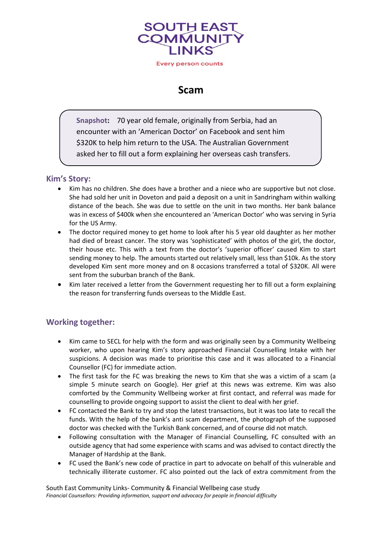

## **Scam**

**Snapshot:** 70 year old female, originally from Serbia, had an encounter with an 'American Doctor' on Facebook and sent him \$320K to help him return to the USA. The Australian Government asked her to fill out a form explaining her overseas cash transfers.

### **Kim's Story:**

- Kim has no children. She does have a brother and a niece who are supportive but not close. She had sold her unit in Doveton and paid a deposit on a unit in Sandringham within walking distance of the beach. She was due to settle on the unit in two months. Her bank balance was in excess of \$400k when she encountered an 'American Doctor' who was serving in Syria for the US Army.
- The doctor required money to get home to look after his 5 year old daughter as her mother had died of breast cancer. The story was 'sophisticated' with photos of the girl, the doctor, their house etc. This with a text from the doctor's 'superior officer' caused Kim to start sending money to help. The amounts started out relatively small, less than \$10k. As the story developed Kim sent more money and on 8 occasions transferred a total of \$320K. All were sent from the suburban branch of the Bank.
- Kim later received a letter from the Government requesting her to fill out a form explaining the reason for transferring funds overseas to the Middle East.

### **Working together:**

- Kim came to SECL for help with the form and was originally seen by a Community Wellbeing worker, who upon hearing Kim's story approached Financial Counselling Intake with her suspicions. A decision was made to prioritise this case and it was allocated to a Financial Counsellor (FC) for immediate action.
- The first task for the FC was breaking the news to Kim that she was a victim of a scam (a simple 5 minute search on Google). Her grief at this news was extreme. Kim was also comforted by the Community Wellbeing worker at first contact, and referral was made for counselling to provide ongoing support to assist the client to deal with her grief.
- FC contacted the Bank to try and stop the latest transactions, but it was too late to recall the funds. With the help of the bank's anti scam department, the photograph of the supposed doctor was checked with the Turkish Bank concerned, and of course did not match.
- Following consultation with the Manager of Financial Counselling, FC consulted with an outside agency that had some experience with scams and was advised to contact directly the Manager of Hardship at the Bank.
- FC used the Bank's new code of practice in part to advocate on behalf of this vulnerable and technically illiterate customer. FC also pointed out the lack of extra commitment from the

South East Community Links- Community & Financial Wellbeing case study *Financial Counsellors: Providing information, support and advocacy for people in financial difficulty*